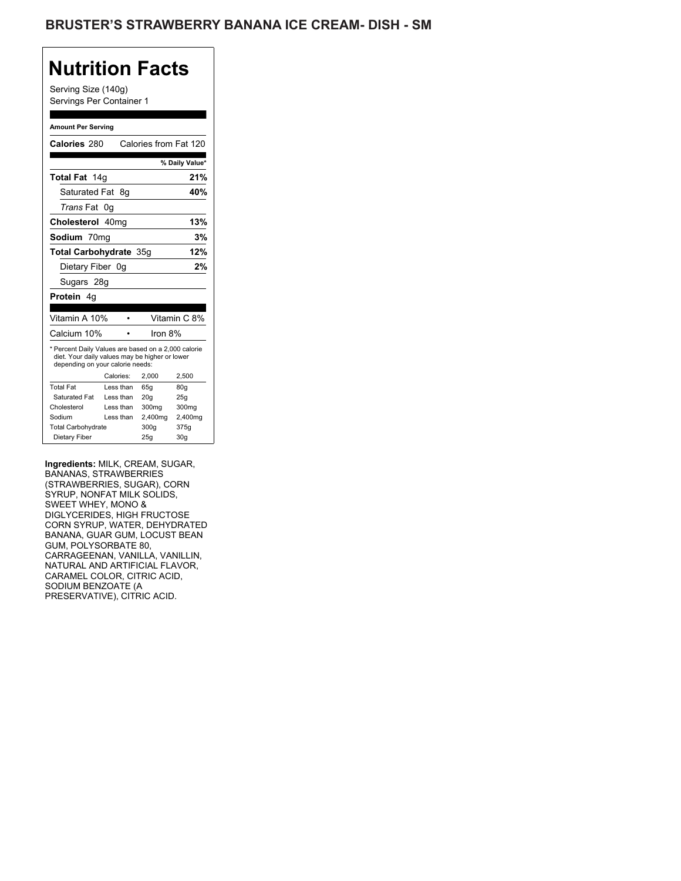Serving Size (140g) Servings Per Container 1

#### **Amount Per Serving**

| Calories 280                                                                                                                              |           | Calories from Fat 120 |                |
|-------------------------------------------------------------------------------------------------------------------------------------------|-----------|-----------------------|----------------|
|                                                                                                                                           |           |                       | % Daily Value* |
| Total Fat 14g                                                                                                                             |           |                       | 21%            |
| Saturated Fat                                                                                                                             | - 8g      |                       | 40%            |
| <i>Trans</i> Fat                                                                                                                          | 0g        |                       |                |
| Cholesterol 40mg                                                                                                                          |           |                       | 13%            |
| Sodium 70mg                                                                                                                               |           |                       | 3%             |
| <b>Total Carbohydrate 35g</b>                                                                                                             |           |                       | 12%            |
| Dietary Fiber 0q                                                                                                                          |           |                       | 2%             |
| Sugars 28g                                                                                                                                |           |                       |                |
| Protein 4g                                                                                                                                |           |                       |                |
|                                                                                                                                           |           |                       |                |
| Vitamin A 10%                                                                                                                             |           |                       | Vitamin C 8%   |
| Calcium 10%                                                                                                                               |           | Iron $8%$             |                |
| * Percent Daily Values are based on a 2,000 calorie<br>diet. Your daily values may be higher or lower<br>depending on your calorie needs: |           |                       |                |
|                                                                                                                                           | Calories: | 2.000                 | 2,500          |
| <b>Total Fat</b>                                                                                                                          | Less than | 65q                   | 80q            |
| Saturated Fat                                                                                                                             | Less than | 20q                   | 25q            |
| Cholesterol                                                                                                                               | Less than | 300mg                 | 300mg          |
| Sodium                                                                                                                                    | Less than | 2,400mg               | 2,400mg        |
|                                                                                                                                           |           |                       |                |
| <b>Total Carbohydrate</b>                                                                                                                 |           | 300g                  | 375g           |

**Ingredients:** MILK, CREAM, SUGAR, BANANAS, STRAWBERRIES (STRAWBERRIES, SUGAR), CORN SYRUP, NONFAT MILK SOLIDS, SWEET WHEY, MONO & DIGLYCERIDES, HIGH FRUCTOSE CORN SYRUP, WATER, DEHYDRATED BANANA, GUAR GUM, LOCUST BEAN GUM, POLYSORBATE 80, CARRAGEENAN, VANILLA, VANILLIN, NATURAL AND ARTIFICIAL FLAVOR, CARAMEL COLOR, CITRIC ACID, SODIUM BENZOATE (A PRESERVATIVE), CITRIC ACID.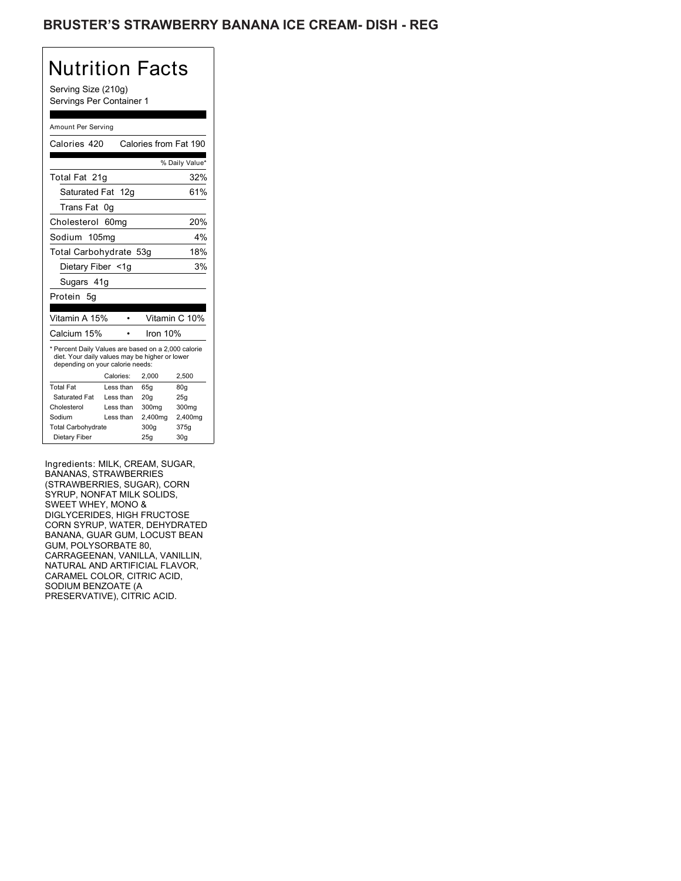### BRUSTER'S STRAWBERRY BANANA ICE CREAM- DISH - REG

# Nutrition Facts

Serving Size (210g) Servings Per Container 1

#### Amount Per Serving

| Calories 420                                                                                                                              |                  | Calories from Fat 190 |                |  |
|-------------------------------------------------------------------------------------------------------------------------------------------|------------------|-----------------------|----------------|--|
|                                                                                                                                           |                  |                       |                |  |
|                                                                                                                                           |                  |                       | % Daily Value* |  |
| Total Fat 21q                                                                                                                             |                  |                       | 32%            |  |
| Saturated Fat 12g                                                                                                                         |                  |                       | 61%            |  |
| Trans Fat                                                                                                                                 | 0g               |                       |                |  |
| Cholesterol                                                                                                                               | 60 <sub>mq</sub> |                       | 20%            |  |
| Sodium 105mg                                                                                                                              |                  |                       | 4%             |  |
| Total Carbohydrate 53g                                                                                                                    |                  |                       | 18%            |  |
| Dietary Fiber <1g                                                                                                                         |                  |                       | 3%             |  |
| Sugars 41g                                                                                                                                |                  |                       |                |  |
| Protein 5g                                                                                                                                |                  |                       |                |  |
|                                                                                                                                           |                  |                       |                |  |
| Vitamin A 15%                                                                                                                             |                  |                       | Vitamin C 10%  |  |
| Calcium 15%                                                                                                                               |                  | Iron $10%$            |                |  |
| * Percent Daily Values are based on a 2,000 calorie<br>diet. Your daily values may be higher or lower<br>depending on your calorie needs: |                  |                       |                |  |
|                                                                                                                                           | Calories:        | 2,000                 | 2,500          |  |
| <b>Total Fat</b>                                                                                                                          | Less than        | 65q                   | 80g            |  |
| Saturated Fat                                                                                                                             | Less than        | 20q                   | 25q            |  |
| Cholesterol                                                                                                                               | Less than        | 300mg                 | 300mg          |  |
| Sodium                                                                                                                                    | Less than        | 2,400mg               | 2,400mg        |  |
| <b>Total Carbohydrate</b>                                                                                                                 |                  | 300q                  | 375g           |  |
|                                                                                                                                           |                  |                       |                |  |

Ingredients: MILK, CREAM, SUGAR, BANANAS, STRAWBERRIES (STRAWBERRIES, SUGAR), CORN SYRUP, NONFAT MILK SOLIDS, SWEET WHEY, MONO & DIGLYCERIDES, HIGH FRUCTOSE CORN SYRUP, WATER, DEHYDRATED BANANA, GUAR GUM, LOCUST BEAN GUM, POLYSORBATE 80, CARRAGEENAN, VANILLA, VANILLIN, NATURAL AND ARTIFICIAL FLAVOR, CARAMEL COLOR, CITRIC ACID, SODIUM BENZOATE (A PRESERVATIVE), CITRIC ACID.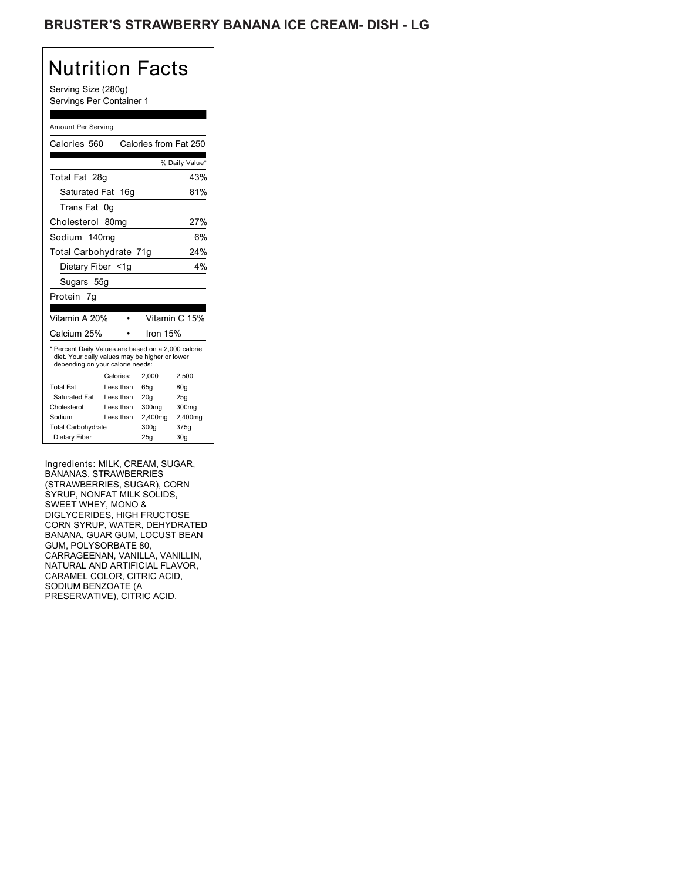### BRUSTER'S STRAWBERRY BANANA ICE CREAM- DISH - LG

# Nutrition Facts

Serving Size (280g) Servings Per Container 1

#### Amount Per Serving

| Calories 560                                                                                                                              |                  | Calories from Fat 250 |                 |
|-------------------------------------------------------------------------------------------------------------------------------------------|------------------|-----------------------|-----------------|
|                                                                                                                                           |                  |                       | % Daily Value*  |
| Total Fat 28g                                                                                                                             |                  |                       | 43%             |
| Saturated Fat 16g                                                                                                                         |                  |                       | 81%             |
| Trans Fat                                                                                                                                 | 0g               |                       |                 |
| Cholesterol                                                                                                                               | 80 <sub>mq</sub> |                       | 27%             |
| Sodium 140mg                                                                                                                              |                  |                       | 6%              |
| Total Carbohydrate 71g                                                                                                                    |                  |                       | 24%             |
| Dietary Fiber <1g                                                                                                                         |                  |                       | 4%              |
| Sugars 55g                                                                                                                                |                  |                       |                 |
| Protein 7g                                                                                                                                |                  |                       |                 |
|                                                                                                                                           |                  |                       |                 |
|                                                                                                                                           |                  |                       |                 |
| Vitamin A 20%                                                                                                                             |                  |                       | Vitamin C 15%   |
| Calcium 25%                                                                                                                               |                  | Iron $15%$            |                 |
| * Percent Daily Values are based on a 2,000 calorie<br>diet. Your daily values may be higher or lower<br>depending on your calorie needs: |                  |                       |                 |
|                                                                                                                                           | Calories:        | 2,000                 | 2,500           |
| <b>Total Fat</b>                                                                                                                          | Less than        | 65g                   | 80 <sub>g</sub> |
| Saturated Fat                                                                                                                             | Less than        | 20q                   | 25q             |
| Cholesterol                                                                                                                               | Less than        | 300 <sub>mq</sub>     | 300mg           |
| Sodium                                                                                                                                    | Less than        | 2,400mg               | 2,400mg         |
| <b>Total Carbohydrate</b>                                                                                                                 |                  | 300q                  | 375g            |

Ingredients: MILK, CREAM, SUGAR, BANANAS, STRAWBERRIES (STRAWBERRIES, SUGAR), CORN SYRUP, NONFAT MILK SOLIDS, SWEET WHEY, MONO & DIGLYCERIDES, HIGH FRUCTOSE CORN SYRUP, WATER, DEHYDRATED BANANA, GUAR GUM, LOCUST BEAN GUM, POLYSORBATE 80, CARRAGEENAN, VANILLA, VANILLIN, NATURAL AND ARTIFICIAL FLAVOR, CARAMEL COLOR, CITRIC ACID, SODIUM BENZOATE (A PRESERVATIVE), CITRIC ACID.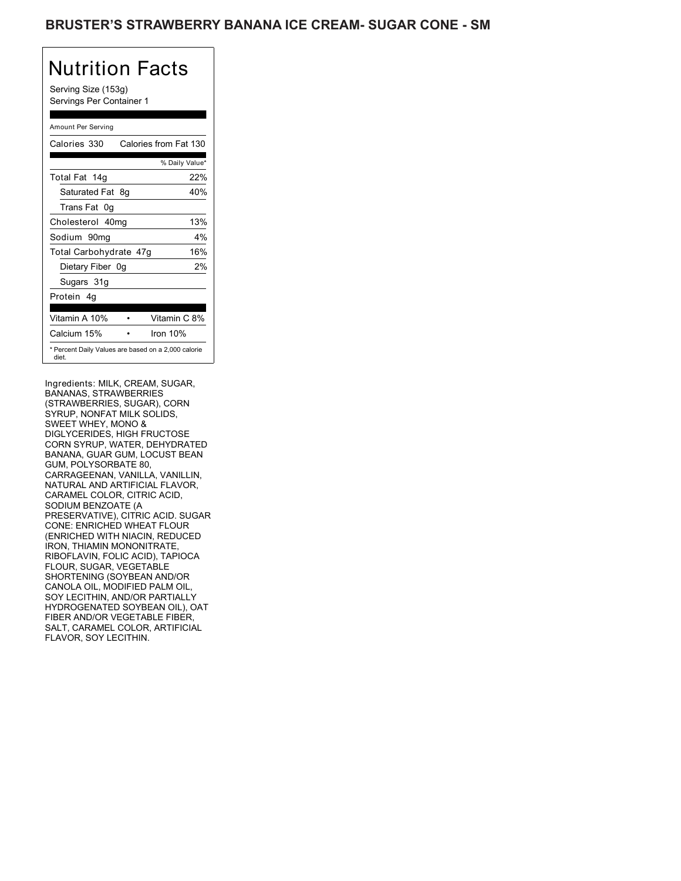Serving Size (153g) Servings Per Container 1

### Amount Per Serving

| Calories 330                                                 |    | Calories from Fat 130 |       |
|--------------------------------------------------------------|----|-----------------------|-------|
|                                                              |    | % Daily Value*        |       |
| Total Fat 14g                                                |    |                       | 22%   |
| Saturated Fat                                                | 8g |                       | 40%   |
| Trans Fat 0q                                                 |    |                       |       |
| Cholesterol 40mg                                             |    |                       | 13%   |
| Sodium 90mq                                                  |    |                       | $4\%$ |
| Total Carbohydrate 47g                                       |    |                       | 16%   |
| Dietary Fiber 0g                                             |    |                       | 2%    |
| Sugars 31g                                                   |    |                       |       |
| Protein 4q                                                   |    |                       |       |
| Vitamin A 10%                                                |    | Vitamin C 8%          |       |
| Calcium 15%                                                  |    | Iron $10%$            |       |
| * Percent Daily Values are based on a 2,000 calorie<br>diet. |    |                       |       |

Ingredients: MILK, CREAM, SUGAR, BANANAS, STRAWBERRIES (STRAWBERRIES, SUGAR), CORN SYRUP, NONFAT MILK SOLIDS, SWEET WHEY, MONO & DIGLYCERIDES, HIGH FRUCTOSE CORN SYRUP, WATER, DEHYDRATED BANANA, GUAR GUM, LOCUST BEAN GUM, POLYSORBATE 80, CARRAGEENAN, VANILLA, VANILLIN, NATURAL AND ARTIFICIAL FLAVOR, CARAMEL COLOR, CITRIC ACID, SODIUM BENZOATE (A PRESERVATIVE), CITRIC ACID. SUGAR CONE: ENRICHED WHEAT FLOUR (ENRICHED WITH NIACIN, REDUCED IRON, THIAMIN MONONITRATE, RIBOFLAVIN, FOLIC ACID), TAPIOCA FLOUR, SUGAR, VEGETABLE SHORTENING (SOYBEAN AND/OR CANOLA OIL, MODIFIED PALM OIL, SOY LECITHIN, AND/OR PARTIALLY HYDROGENATED SOYBEAN OIL), OAT FIBER AND/OR VEGETABLE FIBER, SALT, CARAMEL COLOR, ARTIFICIAL FLAVOR, SOY LECITHIN.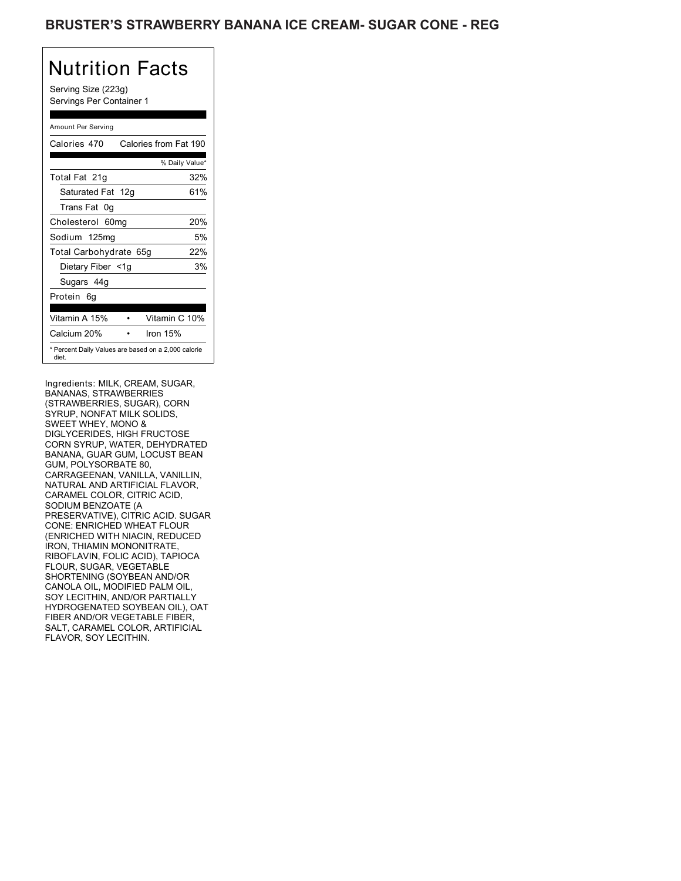Serving Size (223g) Servings Per Container 1

### Amount Per Serving

| Calories 470                                                 | Calories from Fat 190 |     |
|--------------------------------------------------------------|-----------------------|-----|
|                                                              | % Daily Value*        |     |
| Total Fat 21g                                                |                       | 32% |
| Saturated Fat 12g                                            |                       | 61% |
| Trans Fat 0q                                                 |                       |     |
| Cholesterol 60mg                                             |                       | 20% |
| Sodium 125mg                                                 |                       | 5%  |
| Total Carbohydrate 65g                                       |                       | 22% |
| Dietary Fiber <1g                                            |                       | 3%  |
| Sugars 44g                                                   |                       |     |
| Protein 6q                                                   |                       |     |
| Vitamin A 15%                                                | Vitamin C 10%         |     |
|                                                              |                       |     |
| Calcium 20%                                                  | lron 15%              |     |
| * Percent Daily Values are based on a 2,000 calorie<br>diet. |                       |     |

Ingredients: MILK, CREAM, SUGAR, BANANAS, STRAWBERRIES (STRAWBERRIES, SUGAR), CORN SYRUP, NONFAT MILK SOLIDS, SWEET WHEY, MONO & DIGLYCERIDES, HIGH FRUCTOSE CORN SYRUP, WATER, DEHYDRATED BANANA, GUAR GUM, LOCUST BEAN GUM, POLYSORBATE 80, CARRAGEENAN, VANILLA, VANILLIN, NATURAL AND ARTIFICIAL FLAVOR, CARAMEL COLOR, CITRIC ACID, SODIUM BENZOATE (A PRESERVATIVE), CITRIC ACID. SUGAR CONE: ENRICHED WHEAT FLOUR (ENRICHED WITH NIACIN, REDUCED IRON, THIAMIN MONONITRATE, RIBOFLAVIN, FOLIC ACID), TAPIOCA FLOUR, SUGAR, VEGETABLE SHORTENING (SOYBEAN AND/OR CANOLA OIL, MODIFIED PALM OIL, SOY LECITHIN, AND/OR PARTIALLY HYDROGENATED SOYBEAN OIL), OAT FIBER AND/OR VEGETABLE FIBER, SALT, CARAMEL COLOR, ARTIFICIAL FLAVOR, SOY LECITHIN.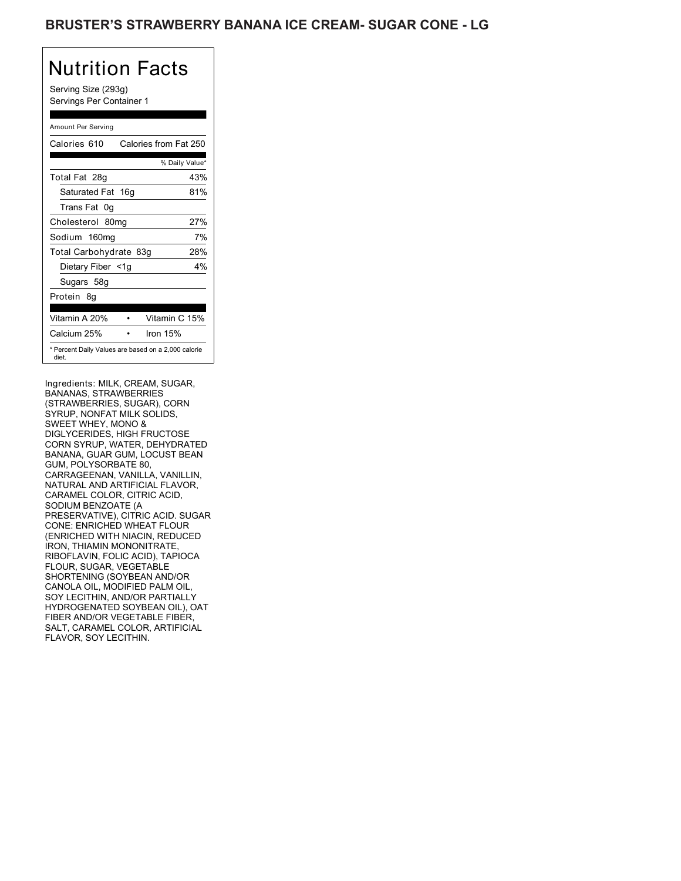Serving Size (293g) Servings Per Container 1

### Amount Per Serving

| Calories 610                                                 | Calories from Fat 250 |       |
|--------------------------------------------------------------|-----------------------|-------|
|                                                              | % Daily Value*        |       |
| Total Fat 28g                                                |                       | 43%   |
| Saturated Fat 16g                                            |                       | 81%   |
| Trans Fat 0q                                                 |                       |       |
| Cholesterol 80mg                                             |                       | 27%   |
| Sodium 160mg                                                 |                       | 7%    |
| Total Carbohydrate 83g                                       |                       | 28%   |
| Dietary Fiber <1g                                            |                       | $4\%$ |
| Sugars 58g                                                   |                       |       |
| Protein 8q                                                   |                       |       |
| Vitamin A 20%                                                | Vitamin C 15%         |       |
| Calcium 25%                                                  | Iron 15%              |       |
| * Percent Daily Values are based on a 2,000 calorie<br>diet. |                       |       |

Ingredients: MILK, CREAM, SUGAR, BANANAS, STRAWBERRIES (STRAWBERRIES, SUGAR), CORN SYRUP, NONFAT MILK SOLIDS, SWEET WHEY, MONO & DIGLYCERIDES, HIGH FRUCTOSE CORN SYRUP, WATER, DEHYDRATED BANANA, GUAR GUM, LOCUST BEAN GUM, POLYSORBATE 80, CARRAGEENAN, VANILLA, VANILLIN, NATURAL AND ARTIFICIAL FLAVOR, CARAMEL COLOR, CITRIC ACID, SODIUM BENZOATE (A PRESERVATIVE), CITRIC ACID. SUGAR CONE: ENRICHED WHEAT FLOUR (ENRICHED WITH NIACIN, REDUCED IRON, THIAMIN MONONITRATE, RIBOFLAVIN, FOLIC ACID), TAPIOCA FLOUR, SUGAR, VEGETABLE SHORTENING (SOYBEAN AND/OR CANOLA OIL, MODIFIED PALM OIL, SOY LECITHIN, AND/OR PARTIALLY HYDROGENATED SOYBEAN OIL), OAT FIBER AND/OR VEGETABLE FIBER, SALT, CARAMEL COLOR, ARTIFICIAL FLAVOR, SOY LECITHIN.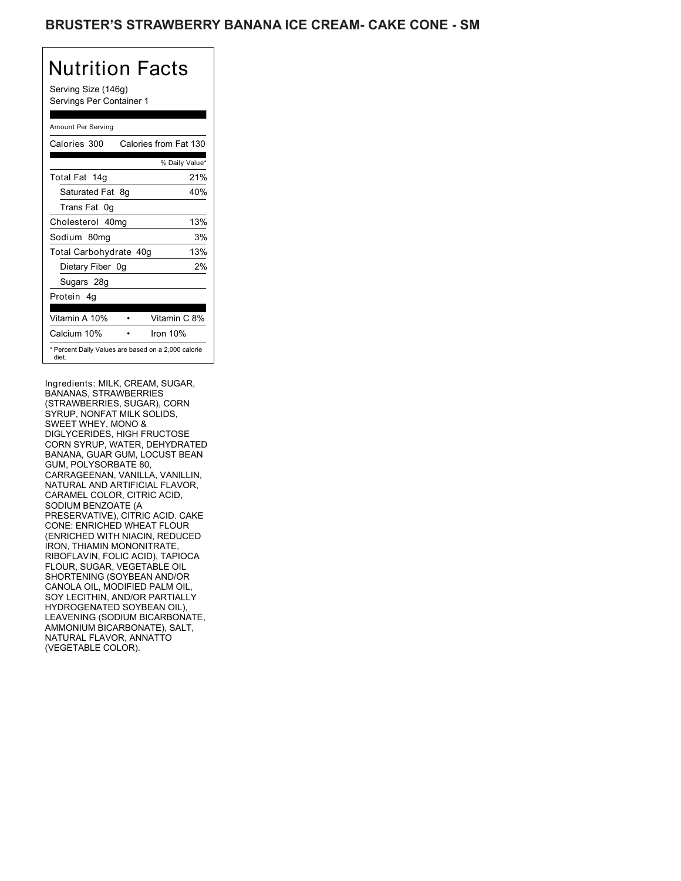Serving Size (146g) Servings Per Container 1

### Amount Per Serving

| Calories 300                                                 | Calories from Fat 130 |     |
|--------------------------------------------------------------|-----------------------|-----|
|                                                              | % Daily Value*        |     |
| Total Fat 14g                                                |                       | 21% |
| Saturated Fat 8q                                             |                       | 40% |
| Trans Fat 0q                                                 |                       |     |
| Cholesterol 40mg                                             |                       | 13% |
| Sodium 80mg                                                  |                       | 3%  |
| Total Carbohydrate 40g                                       |                       | 13% |
| Dietary Fiber 0g                                             |                       | 2%  |
| Sugars 28g                                                   |                       |     |
| Protein 4q                                                   |                       |     |
| Vitamin A 10%                                                | Vitamin C 8%          |     |
| Calcium 10%                                                  | Iron $10%$            |     |
| * Percent Daily Values are based on a 2,000 calorie<br>diet. |                       |     |

Ingredients: MILK, CREAM, SUGAR, BANANAS, STRAWBERRIES (STRAWBERRIES, SUGAR), CORN SYRUP, NONFAT MILK SOLIDS, SWEET WHEY, MONO & DIGLYCERIDES, HIGH FRUCTOSE CORN SYRUP, WATER, DEHYDRATED BANANA, GUAR GUM, LOCUST BEAN GUM, POLYSORBATE 80, CARRAGEENAN, VANILLA, VANILLIN, NATURAL AND ARTIFICIAL FLAVOR, CARAMEL COLOR, CITRIC ACID, SODIUM BENZOATE (A PRESERVATIVE), CITRIC ACID. CAKE CONE: ENRICHED WHEAT FLOUR (ENRICHED WITH NIACIN, REDUCED IRON, THIAMIN MONONITRATE, RIBOFLAVIN, FOLIC ACID), TAPIOCA FLOUR, SUGAR, VEGETABLE OIL SHORTENING (SOYBEAN AND/OR CANOLA OIL, MODIFIED PALM OIL, SOY LECITHIN, AND/OR PARTIALLY HYDROGENATED SOYBEAN OIL), LEAVENING (SODIUM BICARBONATE, AMMONIUM BICARBONATE), SALT, NATURAL FLAVOR, ANNATTO (VEGETABLE COLOR).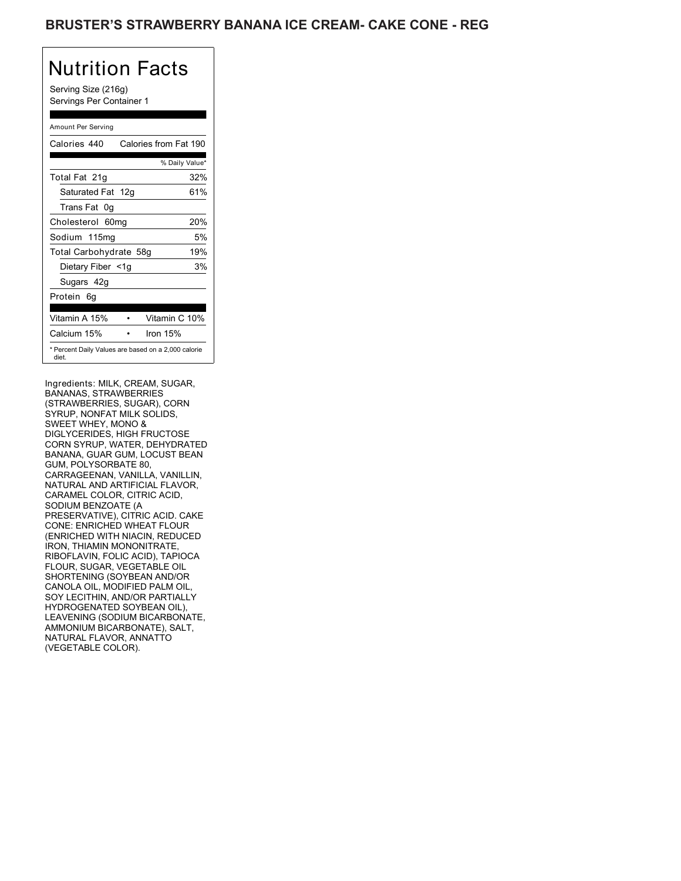Serving Size (216g) Servings Per Container 1

### Amount Per Serving

| Calories 440                                                 | Calories from Fat 190 |     |
|--------------------------------------------------------------|-----------------------|-----|
|                                                              | % Daily Value*        |     |
| Total Fat 21g                                                |                       | 32% |
| Saturated Fat 12g                                            |                       | 61% |
| Trans Fat 0q                                                 |                       |     |
| Cholesterol 60mg                                             |                       | 20% |
| Sodium 115mg                                                 |                       | 5%  |
| Total Carbohydrate 58g                                       |                       | 19% |
| Dietary Fiber <1g                                            |                       | 3%  |
| Sugars 42g                                                   |                       |     |
| Protein 6q                                                   |                       |     |
| Vitamin A 15%                                                | Vitamin C 10%         |     |
| Calcium 15%                                                  | Iron $15%$            |     |
| * Percent Daily Values are based on a 2,000 calorie<br>diet. |                       |     |

Ingredients: MILK, CREAM, SUGAR, BANANAS, STRAWBERRIES (STRAWBERRIES, SUGAR), CORN SYRUP, NONFAT MILK SOLIDS, SWEET WHEY, MONO & DIGLYCERIDES, HIGH FRUCTOSE CORN SYRUP, WATER, DEHYDRATED BANANA, GUAR GUM, LOCUST BEAN GUM, POLYSORBATE 80, CARRAGEENAN, VANILLA, VANILLIN, NATURAL AND ARTIFICIAL FLAVOR, CARAMEL COLOR, CITRIC ACID, SODIUM BENZOATE (A PRESERVATIVE), CITRIC ACID. CAKE CONE: ENRICHED WHEAT FLOUR (ENRICHED WITH NIACIN, REDUCED IRON, THIAMIN MONONITRATE, RIBOFLAVIN, FOLIC ACID), TAPIOCA FLOUR, SUGAR, VEGETABLE OIL SHORTENING (SOYBEAN AND/OR CANOLA OIL, MODIFIED PALM OIL, SOY LECITHIN, AND/OR PARTIALLY HYDROGENATED SOYBEAN OIL), LEAVENING (SODIUM BICARBONATE, AMMONIUM BICARBONATE), SALT, NATURAL FLAVOR, ANNATTO (VEGETABLE COLOR).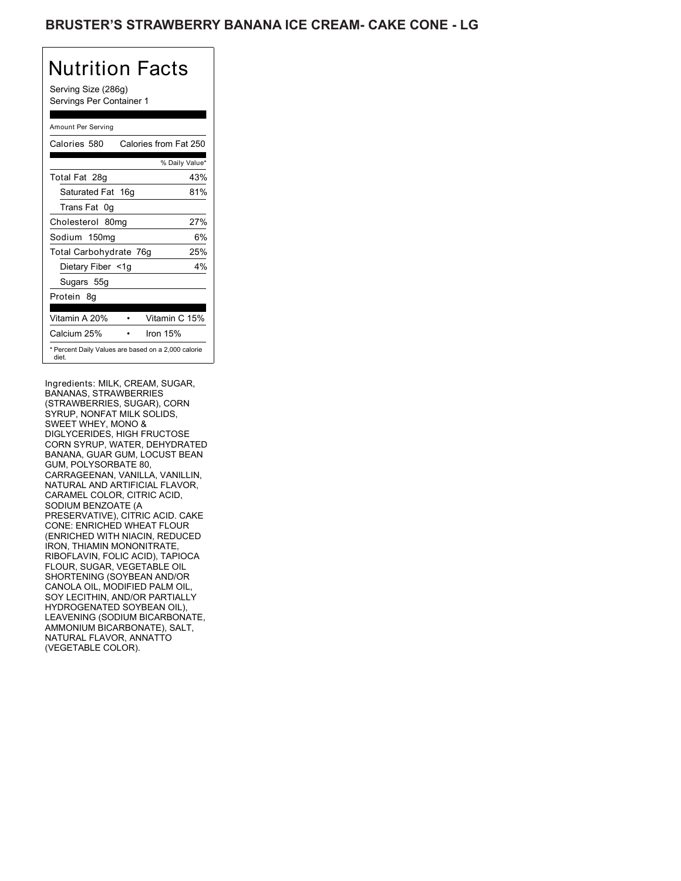### BRUSTER'S STRAWBERRY BANANA ICE CREAM- CAKE CONE - LG

# Nutrition Facts

Serving Size (286g) Servings Per Container 1

### Amount Per Serving

| Calories 580                                                 | Calories from Fat 250 |       |
|--------------------------------------------------------------|-----------------------|-------|
|                                                              | % Daily Value*        |       |
| Total Fat 28g                                                |                       | 43%   |
| Saturated Fat 16g                                            |                       | 81%   |
| Trans Fat 0q                                                 |                       |       |
| Cholesterol 80mg                                             |                       | 27%   |
| Sodium 150mg                                                 |                       | 6%    |
| Total Carbohydrate 76g                                       |                       | 25%   |
| Dietary Fiber <1g                                            |                       | $4\%$ |
| Sugars 55g                                                   |                       |       |
| Protein 8q                                                   |                       |       |
| Vitamin A 20%                                                | Vitamin C 15%         |       |
| Calcium 25%                                                  | Iron $15%$            |       |
| * Percent Daily Values are based on a 2,000 calorie<br>diet. |                       |       |

Ingredients: MILK, CREAM, SUGAR, BANANAS, STRAWBERRIES (STRAWBERRIES, SUGAR), CORN SYRUP, NONFAT MILK SOLIDS, SWEET WHEY, MONO & DIGLYCERIDES, HIGH FRUCTOSE CORN SYRUP, WATER, DEHYDRATED BANANA, GUAR GUM, LOCUST BEAN GUM, POLYSORBATE 80, CARRAGEENAN, VANILLA, VANILLIN, NATURAL AND ARTIFICIAL FLAVOR, CARAMEL COLOR, CITRIC ACID, SODIUM BENZOATE (A PRESERVATIVE), CITRIC ACID. CAKE CONE: ENRICHED WHEAT FLOUR (ENRICHED WITH NIACIN, REDUCED IRON, THIAMIN MONONITRATE, RIBOFLAVIN, FOLIC ACID), TAPIOCA FLOUR, SUGAR, VEGETABLE OIL SHORTENING (SOYBEAN AND/OR CANOLA OIL, MODIFIED PALM OIL, SOY LECITHIN, AND/OR PARTIALLY HYDROGENATED SOYBEAN OIL), LEAVENING (SODIUM BICARBONATE, AMMONIUM BICARBONATE), SALT, NATURAL FLAVOR, ANNATTO (VEGETABLE COLOR).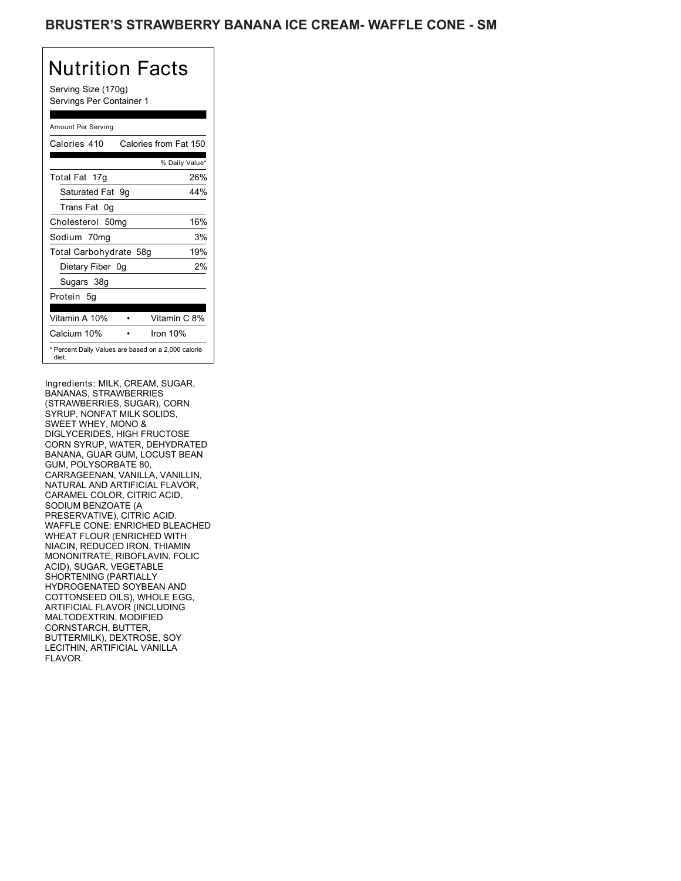Serving Size (170g) Servings Per Container 1

### Amount Per Serving

| Calories 410           | Calories from Fat 150                               |
|------------------------|-----------------------------------------------------|
|                        | % Daily Value*                                      |
| Total Fat 17g          | 26%                                                 |
| Saturated Fat 9q       | 44%                                                 |
| Trans Fat 0q           |                                                     |
| Cholesterol 50mg       | 16%                                                 |
| Sodium 70mg            | 3%                                                  |
| Total Carbohydrate 58g | 19%                                                 |
| Dietary Fiber 0g       | 2%                                                  |
| Sugars 38g             |                                                     |
| Protein 5q             |                                                     |
| Vitamin A 10%          | Vitamin C 8%                                        |
| Calcium 10%            | Iron $10%$                                          |
| diet.                  | * Percent Daily Values are based on a 2,000 calorie |

Ingredients: MILK, CREAM, SUGAR, BANANAS, STRAWBERRIES (STRAWBERRIES, SUGAR), CORN SYRUP, NONFAT MILK SOLIDS, SWEET WHEY, MONO & DIGLYCERIDES, HIGH FRUCTOSE CORN SYRUP, WATER, DEHYDRATED BANANA, GUAR GUM, LOCUST BEAN GUM, POLYSORBATE 80, CARRAGEENAN, VANILLA, VANILLIN, NATURAL AND ARTIFICIAL FLAVOR, CARAMEL COLOR, CITRIC ACID, SODIUM BENZOATE (A PRESERVATIVE), CITRIC ACID. WAFFLE CONE: ENRICHED BLEACHED WHEAT FLOUR (ENRICHED WITH NIACIN, REDUCED IRON, THIAMIN MONONITRATE, RIBOFLAVIN, FOLIC ACID), SUGAR, VEGETABLE SHORTENING (PARTIALLY HYDROGENATED SOYBEAN AND COTTONSEED OILS), WHOLE EGG, ARTIFICIAL FLAVOR (INCLUDING MALTODEXTRIN, MODIFIED CORNSTARCH, BUTTER, BUTTERMILK), DEXTROSE, SOY LECITHIN, ARTIFICIAL VANILLA FLAVOR.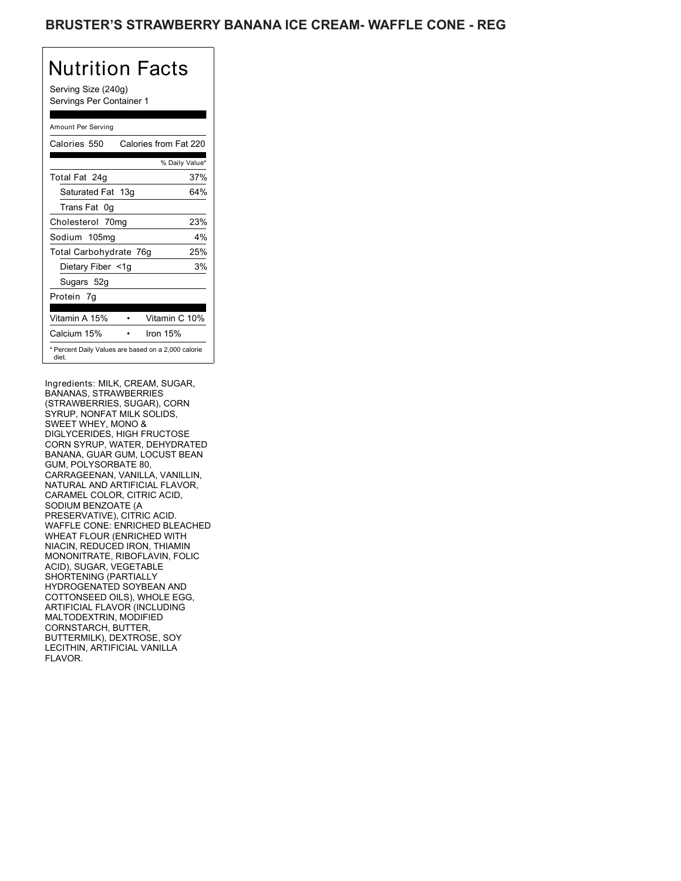Serving Size (240g) Servings Per Container 1

### Amount Per Serving

| Calories 550                                                 | Calories from Fat 220 |       |
|--------------------------------------------------------------|-----------------------|-------|
|                                                              | % Daily Value*        |       |
| Total Fat 24g                                                |                       | 37%   |
| Saturated Fat 13g                                            |                       | 64%   |
| Trans Fat 0q                                                 |                       |       |
| Cholesterol 70mg                                             |                       | 23%   |
| Sodium 105mg                                                 |                       | $4\%$ |
| Total Carbohydrate 76g                                       |                       | 25%   |
| Dietary Fiber <1g                                            |                       | 3%    |
| Sugars 52g                                                   |                       |       |
| Protein 7q                                                   |                       |       |
| Vitamin A 15%                                                | Vitamin C 10%         |       |
| Calcium 15%                                                  | Iron $15%$            |       |
| * Percent Daily Values are based on a 2,000 calorie<br>diet. |                       |       |

Ingredients: MILK, CREAM, SUGAR, BANANAS, STRAWBERRIES (STRAWBERRIES, SUGAR), CORN SYRUP, NONFAT MILK SOLIDS, SWEET WHEY, MONO & DIGLYCERIDES, HIGH FRUCTOSE CORN SYRUP, WATER, DEHYDRATED BANANA, GUAR GUM, LOCUST BEAN GUM, POLYSORBATE 80, CARRAGEENAN, VANILLA, VANILLIN, NATURAL AND ARTIFICIAL FLAVOR, CARAMEL COLOR, CITRIC ACID, SODIUM BENZOATE (A PRESERVATIVE), CITRIC ACID. WAFFLE CONE: ENRICHED BLEACHED WHEAT FLOUR (ENRICHED WITH NIACIN, REDUCED IRON, THIAMIN MONONITRATE, RIBOFLAVIN, FOLIC ACID), SUGAR, VEGETABLE SHORTENING (PARTIALLY HYDROGENATED SOYBEAN AND COTTONSEED OILS), WHOLE EGG, ARTIFICIAL FLAVOR (INCLUDING MALTODEXTRIN, MODIFIED CORNSTARCH, BUTTER, BUTTERMILK), DEXTROSE, SOY LECITHIN, ARTIFICIAL VANILLA FLAVOR.